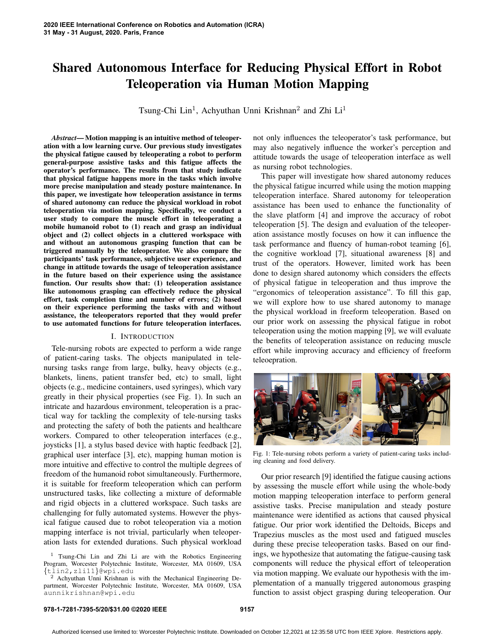# Shared Autonomous Interface for Reducing Physical Effort in Robot Teleoperation via Human Motion Mapping

Tsung-Chi Lin<sup>1</sup>, Achyuthan Unni Krishnan<sup>2</sup> and Zhi Li<sup>1</sup>

*Abstract*— Motion mapping is an intuitive method of teleoperation with a low learning curve. Our previous study investigates the physical fatigue caused by teleoperating a robot to perform general-purpose assistive tasks and this fatigue affects the operator's performance. The results from that study indicate that physical fatigue happens more in the tasks which involve more precise manipulation and steady posture maintenance. In this paper, we investigate how teleoperation assistance in terms of shared autonomy can reduce the physical workload in robot teleoperation via motion mapping. Specifically, we conduct a user study to compare the muscle effort in teleoperating a mobile humanoid robot to (1) reach and grasp an individual object and (2) collect objects in a cluttered workspace with and without an autonomous grasping function that can be triggered manually by the teleoperator. We also compare the participants' task performance, subjective user experience, and change in attitude towards the usage of teleoperation assistance in the future based on their experience using the assistance function. Our results show that: (1) teleoperation assistance like autonomous grasping can effectively reduce the physical effort, task completion time and number of errors; (2) based on their experience performing the tasks with and without assistance, the teleoperators reported that they would prefer to use automated functions for future teleoperation interfaces.

#### I. INTRODUCTION

Tele-nursing robots are expected to perform a wide range of patient-caring tasks. The objects manipulated in telenursing tasks range from large, bulky, heavy objects (e.g., blankets, linens, patient transfer bed, etc) to small, light objects (e.g., medicine containers, used syringes), which vary greatly in their physical properties (see Fig. 1). In such an intricate and hazardous environment, teleoperation is a practical way for tackling the complexity of tele-nursing tasks and protecting the safety of both the patients and healthcare workers. Compared to other teleoperation interfaces (e.g., joysticks [1], a stylus based device with haptic feedback [2], graphical user interface [3], etc), mapping human motion is more intuitive and effective to control the multiple degrees of freedom of the humanoid robot simultaneously. Furthermore, it is suitable for freeform teleoperation which can perform unstructured tasks, like collecting a mixture of deformable and rigid objects in a cluttered workspace. Such tasks are challenging for fully automated systems. However the physical fatigue caused due to robot teleoperation via a motion mapping interface is not trivial, particularly when teleoperation lasts for extended durations. Such physical workload not only influences the teleoperator's task performance, but may also negatively influence the worker's perception and attitude towards the usage of teleoperation interface as well as nursing robot technologies.

This paper will investigate how shared autonomy reduces the physical fatigue incurred while using the motion mapping teleoperation interface. Shared autonomy for teleoperation assistance has been used to enhance the functionality of the slave platform [4] and improve the accuracy of robot teleoperation [5]. The design and evaluation of the teleoperation assistance mostly focuses on how it can influence the task performance and fluency of human-robot teaming [6], the cognitive workload [7], situational awareness [8] and trust of the operators. However, limited work has been done to design shared autonomy which considers the effects of physical fatigue in teleoperation and thus improve the "ergonomics of teleoperation assistance". To fill this gap, we will explore how to use shared autonomy to manage the physical workload in freeform teleoperation. Based on our prior work on assessing the physical fatigue in robot teleoperation using the motion mapping [9], we will evaluate the benefits of teleoperation assistance on reducing muscle effort while improving accuracy and efficiency of freeform teleoepration.



Fig. 1: Tele-nursing robots perform a variety of patient-caring tasks including cleaning and food delivery.

Our prior research [9] identified the fatigue causing actions by assessing the muscle effort while using the whole-body motion mapping teleoperation interface to perform general assistive tasks. Precise manipulation and steady posture maintenance were identified as actions that caused physical fatigue. Our prior work identified the Deltoids, Biceps and Trapezius muscles as the most used and fatigued muscles during these precise teleoperation tasks. Based on our findings, we hypothesize that automating the fatigue-causing task components will reduce the physical effort of teleoperation via motion mapping. We evaluate our hypothesis with the implementation of a manually triggered autonomous grasping function to assist object grasping during teleoperation. Our

#### **978-1-7281-7395-5/20/\$31.00 ©2020 IEEE 9157**

<sup>&</sup>lt;sup>1</sup> Tsung-Chi Lin and Zhi Li are with the Robotics Engineering Program, Worcester Polytechnic Institute, Worcester, MA 01609, USA {tlin2,zli11}@wpi.edu

<sup>2</sup> Achyuthan Unni Krishnan is with the Mechanical Engineering Department, Worcester Polytechnic Institute, Worcester, MA 01609, USA aunnikrishnan@wpi.edu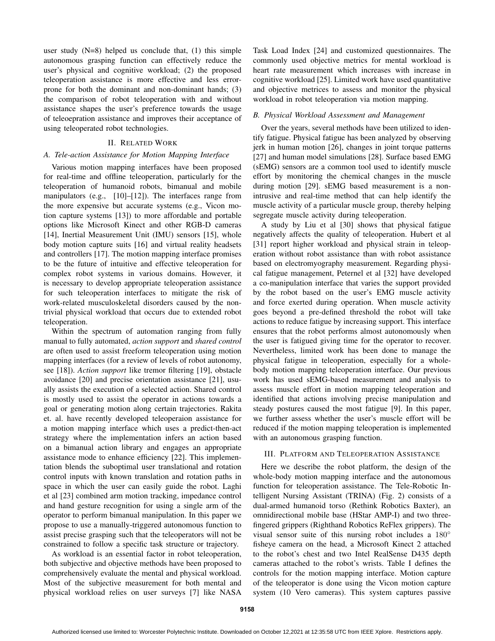user study  $(N=8)$  helped us conclude that,  $(1)$  this simple autonomous grasping function can effectively reduce the user's physical and cognitive workload; (2) the proposed teleoperation assistance is more effective and less errorprone for both the dominant and non-dominant hands; (3) the comparison of robot teleoperation with and without assistance shapes the user's preference towards the usage of teleoepration assistance and improves their acceptance of using teleoperated robot technologies.

#### II. RELATED WORK

### *A. Tele-action Assistance for Motion Mapping Interface*

Various motion mapping interfaces have been proposed for real-time and offline teleoperation, particularly for the teleoperation of humanoid robots, bimanual and mobile manipulators (e.g., [10]–[12]). The interfaces range from the more expensive but accurate systems (e.g., Vicon motion capture systems [13]) to more affordable and portable options like Microsoft Kinect and other RGB-D cameras [14], Inertial Measurement Unit (IMU) sensors [15], whole body motion capture suits [16] and virtual reality headsets and controllers [17]. The motion mapping interface promises to be the future of intuitive and effective teleoperation for complex robot systems in various domains. However, it is necessary to develop appropriate teleoperation assistance for such teleoperation interfaces to mitigate the risk of work-related musculoskeletal disorders caused by the nontrivial physical workload that occurs due to extended robot teleoperation.

Within the spectrum of automation ranging from fully manual to fully automated, *action support* and *shared control* are often used to assist freeform teleoperation using motion mapping interfaces (for a review of levels of robot autonomy, see [18]). *Action support* like tremor filtering [19], obstacle avoidance [20] and precise orientation assistance [21], usually assists the execution of a selected action. Shared control is mostly used to assist the operator in actions towards a goal or generating motion along certain trajectories. Rakita et. al. have recently developed teleoperaion assistance for a motion mapping interface which uses a predict-then-act strategy where the implementation infers an action based on a bimanual action library and engages an appropriate assistance mode to enhance efficiency [22]. This implementation blends the suboptimal user translational and rotation control inputs with known translation and rotation paths in space in which the user can easily guide the robot. Laghi et al [23] combined arm motion tracking, impedance control and hand gesture recognition for using a single arm of the operator to perform bimanual manipulation. In this paper we propose to use a manually-triggered autonomous function to assist precise grasping such that the teleoperators will not be constrained to follow a specific task structure or trajectory.

As workload is an essential factor in robot teleoperation, both subjective and objective methods have been proposed to comprehensively evaluate the mental and physical workload. Most of the subjective measurement for both mental and physical workload relies on user surveys [7] like NASA Task Load Index [24] and customized questionnaires. The commonly used objective metrics for mental workload is heart rate measurement which increases with increase in cognitive workload [25]. Limited work have used quantitative and objective metrices to assess and monitor the physical workload in robot teleoperation via motion mapping.

### *B. Physical Workload Assessment and Management*

Over the years, several methods have been utilized to identify fatigue. Physical fatigue has been analyzed by observing jerk in human motion [26], changes in joint torque patterns [27] and human model simulations [28]. Surface based EMG (sEMG) sensors are a common tool used to identify muscle effort by monitoring the chemical changes in the muscle during motion [29]. sEMG based measurement is a nonintrusive and real-time method that can help identify the muscle activity of a particular muscle group, thereby helping segregate muscle activity during teleoperation.

A study by Liu et al [30] shows that physical fatigue negatively affects the quality of teleoperation. Hubert et al [31] report higher workload and physical strain in teleoperation without robot assistance than with robot assistance based on electromyography measurement. Regarding physical fatigue management, Peternel et al [32] have developed a co-manipulation interface that varies the support provided by the robot based on the user's EMG muscle activity and force exerted during operation. When muscle activity goes beyond a pre-defined threshold the robot will take actions to reduce fatigue by increasing support. This interface ensures that the robot performs almost autonomously when the user is fatigued giving time for the operator to recover. Nevertheless, limited work has been done to manage the physical fatigue in teleoperation, especially for a wholebody motion mapping teleoperation interface. Our previous work has used sEMG-based measurement and analysis to assess muscle effort in motion mapping teleoperation and identified that actions involving precise manipulation and steady postures caused the most fatigue [9]. In this paper, we further assess whether the user's muscle effort will be reduced if the motion mapping teleoperation is implemented with an autonomous grasping function.

#### III. PLATFORM AND TELEOPERATION ASSISTANCE

Here we describe the robot platform, the design of the whole-body motion mapping interface and the autonomous function for teleoperation assistance. The Tele-Robotic Intelligent Nursing Assistant (TRINA) (Fig. 2) consists of a dual-armed humanoid torso (Rethink Robotics Baxter), an omnidirectional mobile base (HStar AMP-I) and two threefingered grippers (Righthand Robotics ReFlex grippers). The visual sensor suite of this nursing robot includes a 180° fisheye camera on the head, a Microsoft Kinect 2 attached to the robot's chest and two Intel RealSense D435 depth cameras attached to the robot's wrists. Table I defines the controls for the motion mapping interface. Motion capture of the teleoperator is done using the Vicon motion capture system (10 Vero cameras). This system captures passive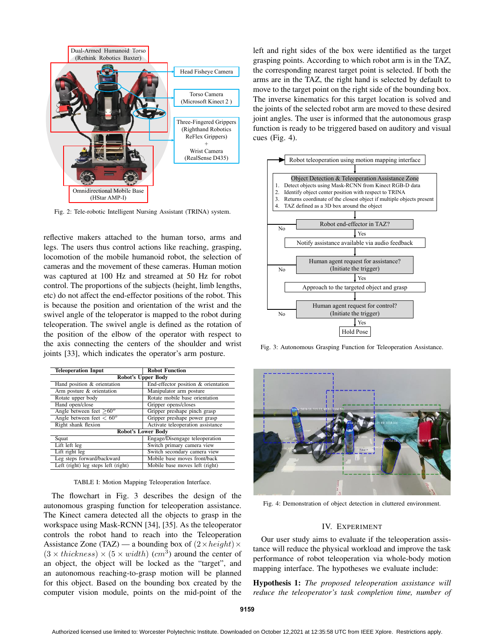

Fig. 2: Tele-robotic Intelligent Nursing Assistant (TRINA) system.

reflective makers attached to the human torso, arms and legs. The users thus control actions like reaching, grasping, locomotion of the mobile humanoid robot, the selection of cameras and the movement of these cameras. Human motion was captured at 100 Hz and streamed at 50 Hz for robot control. The proportions of the subjects (height, limb lengths, etc) do not affect the end-effector positions of the robot. This is because the position and orientation of the wrist and the swivel angle of the teloperator is mapped to the robot during teleoperation. The swivel angle is defined as the rotation of the position of the elbow of the operator with respect to the axis connecting the centers of the shoulder and wrist joints [33], which indicates the operator's arm posture.

| <b>Teleoperation Input</b>          | <b>Robot Function</b>               |  |  |  |  |  |  |  |
|-------------------------------------|-------------------------------------|--|--|--|--|--|--|--|
| <b>Robot's Upper Body</b>           |                                     |  |  |  |  |  |  |  |
| Hand position & orientation         | End-effector position & orientation |  |  |  |  |  |  |  |
| Arm posture & orientation           | Manipulator arm posture             |  |  |  |  |  |  |  |
| Rotate upper body                   | Rotate mobile base orientation      |  |  |  |  |  |  |  |
| Hand open/close                     | Gripper opens/closes                |  |  |  |  |  |  |  |
| Angle between feet $>60^{\circ}$    | Gripper preshape pinch grasp        |  |  |  |  |  |  |  |
| Angle between feet $< 60^{\circ}$   | Gripper preshape power grasp        |  |  |  |  |  |  |  |
| Right shank flexion                 | Activate teleoperation assistance   |  |  |  |  |  |  |  |
| <b>Robot's Lower Body</b>           |                                     |  |  |  |  |  |  |  |
| Squat                               | Engage/Disengage teleoperation      |  |  |  |  |  |  |  |
| Lift left leg                       | Switch primary camera view          |  |  |  |  |  |  |  |
| Lift right leg                      | Switch secondary camera view        |  |  |  |  |  |  |  |
| Leg steps forward/backward          | Mobile base moves front/back        |  |  |  |  |  |  |  |
| Left (right) leg steps left (right) | Mobile base moves left (right)      |  |  |  |  |  |  |  |

TABLE I: Motion Mapping Teleoperation Interface.

The flowchart in Fig. 3 describes the design of the autonomous grasping function for teleoperation assistance. The Kinect camera detected all the objects to grasp in the workspace using Mask-RCNN [34], [35]. As the teleoperator controls the robot hand to reach into the Teleoperation Assistance Zone (TAZ) — a bounding box of  $(2 \times height) \times$  $(3 \times thickness) \times (5 \times width)$  (cm<sup>3</sup>) around the center of an object, the object will be locked as the "target", and an autonomous reaching-to-grasp motion will be planned for this object. Based on the bounding box created by the computer vision module, points on the mid-point of the

left and right sides of the box were identified as the target grasping points. According to which robot arm is in the TAZ, the corresponding nearest target point is selected. If both the arms are in the TAZ, the right hand is selected by default to move to the target point on the right side of the bounding box. The inverse kinematics for this target location is solved and the joints of the selected robot arm are moved to these desired joint angles. The user is informed that the autonomous grasp function is ready to be triggered based on auditory and visual cues (Fig. 4).



Fig. 3: Autonomous Grasping Function for Teleoperation Assistance.



Fig. 4: Demonstration of object detection in cluttered environment.

# IV. EXPERIMENT

Our user study aims to evaluate if the teleoperation assistance will reduce the physical workload and improve the task performance of robot teleoperation via whole-body motion mapping interface. The hypotheses we evaluate include:

Hypothesis 1: *The proposed teleoperation assistance will reduce the teleoperator's task completion time, number of*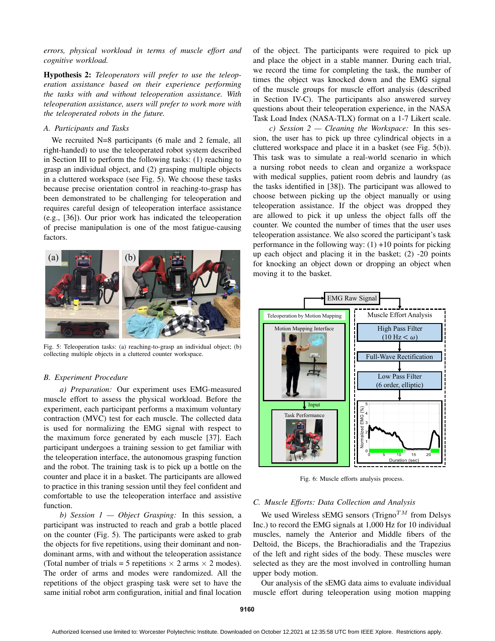*errors, physical workload in terms of muscle effort and cognitive workload.*

Hypothesis 2: *Teleoperators will prefer to use the teleoperation assistance based on their experience performing the tasks with and without teleoperation assistance. With teleoperation assistance, users will prefer to work more with the teleoperated robots in the future.*

# *A. Participants and Tasks*

We recruited N=8 participants (6 male and 2 female, all right-handed) to use the teleoperated robot system described in Section III to perform the following tasks: (1) reaching to grasp an individual object, and (2) grasping multiple objects in a cluttered workspace (see Fig. 5). We choose these tasks because precise orientation control in reaching-to-grasp has been demonstrated to be challenging for teleoperation and requires careful design of teleoperation interface assistance (e.g., [36]). Our prior work has indicated the teleoperation of precise manipulation is one of the most fatigue-causing factors.



Fig. 5: Teleoperation tasks: (a) reaching-to-grasp an individual object; (b) collecting multiple objects in a cluttered counter workspace.

#### *B. Experiment Procedure*

*a) Preparation:* Our experiment uses EMG-measured muscle effort to assess the physical workload. Before the experiment, each participant performs a maximum voluntary contraction (MVC) test for each muscle. The collected data is used for normalizing the EMG signal with respect to the maximum force generated by each muscle [37]. Each participant undergoes a training session to get familiar with the teleoperation interface, the autonomous grasping function and the robot. The training task is to pick up a bottle on the counter and place it in a basket. The participants are allowed to practice in this traning session until they feel confident and comfortable to use the teleoperation interface and assistive function.

*b) Session 1 — Object Grasping:* In this session, a participant was instructed to reach and grab a bottle placed on the counter (Fig. 5). The participants were asked to grab the objects for five repetitions, using their dominant and nondominant arms, with and without the teleoperation assistance (Total number of trials = 5 repetitions  $\times$  2 arms  $\times$  2 modes). The order of arms and modes were randomized. All the repetitions of the object grasping task were set to have the same initial robot arm configuration, initial and final location of the object. The participants were required to pick up and place the object in a stable manner. During each trial, we record the time for completing the task, the number of times the object was knocked down and the EMG signal of the muscle groups for muscle effort analysis (described in Section IV-C). The participants also answered survey questions about their teleoperation experience, in the NASA Task Load Index (NASA-TLX) format on a 1-7 Likert scale.

*c) Session 2 — Cleaning the Workspace:* In this session, the user has to pick up three cylindrical objects in a cluttered workspace and place it in a basket (see Fig. 5(b)). This task was to simulate a real-world scenario in which a nursing robot needs to clean and organize a workspace with medical supplies, patient room debris and laundry (as the tasks identified in [38]). The participant was allowed to choose between picking up the object manually or using teleoperation assistance. If the object was dropped they are allowed to pick it up unless the object falls off the counter. We counted the number of times that the user uses teleoperation assistance. We also scored the participant's task performance in the following way:  $(1) +10$  points for picking up each object and placing it in the basket; (2) -20 points for knocking an object down or dropping an object when moving it to the basket.



Fig. 6: Muscle efforts analysis process.

# *C. Muscle Efforts: Data Collection and Analysis*

We used Wireless sEMG sensors (Trigno<sup>TM</sup> from Delsys) Inc.) to record the EMG signals at 1,000 Hz for 10 individual muscles, namely the Anterior and Middle fibers of the Deltoid, the Biceps, the Brachioradialis and the Trapezius of the left and right sides of the body. These muscles were selected as they are the most involved in controlling human upper body motion.

Our analysis of the sEMG data aims to evaluate individual muscle effort during teleoperation using motion mapping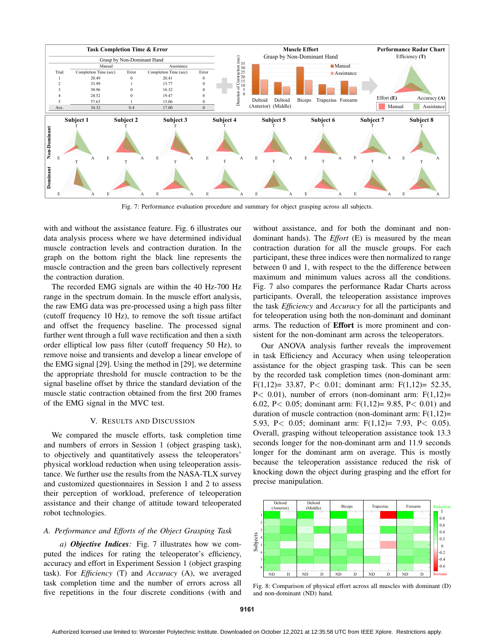

Fig. 7: Performance evaluation procedure and summary for object grasping across all subjects.

with and without the assistance feature. Fig. 6 illustrates our data analysis process where we have determined individual muscle contraction levels and contraction duration. In the graph on the bottom right the black line represents the muscle contraction and the green bars collectively represent the contraction duration.

The recorded EMG signals are within the 40 Hz-700 Hz range in the spectrum domain. In the muscle effort analysis, the raw EMG data was pre-processed using a high pass filter (cutoff frequency 10 Hz), to remove the soft tissue artifact and offset the frequency baseline. The processed signal further went through a full wave rectification and then a sixth order elliptical low pass filter (cutoff frequency 50 Hz), to remove noise and transients and develop a linear envelope of the EMG signal [29]. Using the method in [29], we determine the appropriate threshold for muscle contraction to be the signal baseline offset by thrice the standard deviation of the muscle static contraction obtained from the first 200 frames of the EMG signal in the MVC test.

#### V. RESULTS AND DISCUSSION

We compared the muscle efforts, task completion time and numbers of errors in Session 1 (object grasping task), to objectively and quantitatively assess the teleoperators' physical workload reduction when using teleoperation assistance. We further use the results from the NASA-TLX survey and customized questionnaires in Session 1 and 2 to assess their perception of workload, preference of teleoperation assistance and their change of attitude toward teleoperated robot technologies.

# *A. Performance and Efforts of the Object Grasping Task*

*a) Objective Indices:* Fig. 7 illustrates how we computed the indices for rating the teleoperator's efficiency, accuracy and effort in Experiment Session 1 (object grasping task). For *Efficiency* (T) and *Accuracy* (A), we averaged task completion time and the number of errors across all five repetitions in the four discrete conditions (with and without assistance, and for both the dominant and nondominant hands). The *Effort* (E) is measured by the mean contraction duration for all the muscle groups. For each participant, these three indices were then normalized to range between 0 and 1, with respect to the the difference between maximum and minimum values across all the conditions. Fig. 7 also compares the performance Radar Charts across participants. Overall, the teleoperation assistance improves the task *Efficiency* and *Accuracy* for all the participants and for teleoperation using both the non-dominant and dominant arms. The reduction of Effort is more prominent and consistent for the non-dominant arm across the teleoperators.

Our ANOVA analysis further reveals the improvement in task Efficiency and Accuracy when using teleoperation assistance for the object grasping task. This can be seen by the recorded task completion times (non-dominant arm: F(1,12)= 33.87, P< 0.01; dominant arm: F(1,12)= 52.35,  $P<$  0.01), number of errors (non-dominant arm:  $F(1,12)=$ 6.02, P< 0.05; dominant arm: F(1,12)= 9.85, P< 0.01) and duration of muscle contraction (non-dominant arm:  $F(1,12)=$ 5.93, P< 0.05; dominant arm: F(1,12)= 7.93, P< 0.05). Overall, grasping without teleoperation assistance took 13.3 seconds longer for the non-dominant arm and 11.9 seconds longer for the dominant arm on average. This is mostly because the teleoperation assistance reduced the risk of knocking down the object during grasping and the effort for precise manipulation.



Fig. 8: Comparison of physical effort across all muscles with dominant (D) and non-dominant (ND) hand.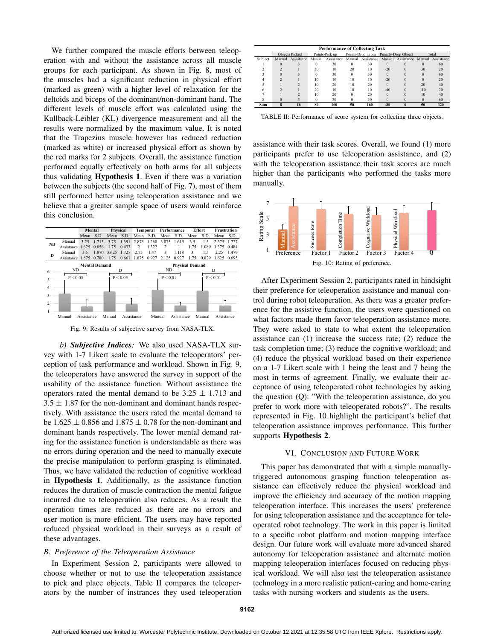We further compared the muscle efforts between teleoperation with and without the assistance across all muscle groups for each participant. As shown in Fig. 8, most of the muscles had a significant reduction in physical effort (marked as green) with a higher level of relaxation for the deltoids and biceps of the dominant/non-dominant hand. The different levels of muscle effort was calculated using the Kullback-Leibler (KL) divergence measurement and all the results were normalized by the maximum value. It is noted that the Trapezius muscle however has reduced reduction (marked as white) or increased physical effort as shown by the red marks for 2 subjects. Overall, the assistance function performed equally effectively on both arms for all subjects thus validating Hypothesis 1. Even if there was a variation between the subjects (the second half of Fig. 7), most of them still performed better using teleoperation assistance and we believe that a greater sample space of users would reinforce this conclusion.



Fig. 9: Results of subjective survey from NASA-TLX.

*b) Subjective Indices:* We also used NASA-TLX survey with 1-7 Likert scale to evaluate the teleoperators' perception of task performance and workload. Shown in Fig. 9, the teleoperators have answered the survey in support of the usability of the assistance function. Without assistance the operators rated the mental demand to be  $3.25 \pm 1.713$  and  $3.5 \pm 1.87$  for the non-dominant and dominant hands respectively. With assistance the users rated the mental demand to be  $1.625 \pm 0.856$  and  $1.875 \pm 0.78$  for the non-dominant and dominant hands respectively. The lower mental demand rating for the assistance function is understandable as there was no errors during operation and the need to manually execute the precise manipulation to perform grasping is eliminated. Thus, we have validated the reduction of cognitive workload in Hypothesis 1. Additionally, as the assistance function reduces the duration of muscle contraction the mental fatigue incurred due to teleoperation also reduces. As a result the operation times are reduced as there are no errors and user motion is more efficient. The users may have reported reduced physical workload in their surveys as a result of these advantages.

# *B. Preference of the Teleoperation Assistance*

In Experiment Session 2, participants were allowed to choose whether or not to use the teleoperation assistance to pick and place objects. Table II compares the teleoperators by the number of instrances they used teleoperation

| <b>Performance of Collecting Task</b> |                       |            |                |                   |                    |                   |                     |                   |          |            |  |
|---------------------------------------|-----------------------|------------|----------------|-------------------|--------------------|-------------------|---------------------|-------------------|----------|------------|--|
|                                       | <b>Objects Picked</b> |            | Points-Pick up |                   | Points-Drop in bin |                   | Penalty-Drop Object |                   | Total    |            |  |
| Subject                               | Manual                | Assistance |                | Manual Assistance |                    | Manual Assistance |                     | Manual Assistance | Manual   | Assistance |  |
|                                       | $\Omega$              |            | $\bf{0}$       | 30                | $\Omega$           | 30                | $\Omega$            | $\Omega$          | $\Omega$ | 60         |  |
|                                       |                       |            | 30             | 10                | 20                 | 10                | $-20$               | $\Omega$          | 30       | 20         |  |
|                                       | 0                     |            |                | 30                | $\Omega$           | 30                | $\Omega$            |                   | $\Omega$ | 60         |  |
|                                       |                       |            | 10             | 10                | 10                 | 10                | $-20$               |                   |          | 20         |  |
|                                       |                       |            | 10             | 20                | 10                 | 20                | $\Omega$            |                   | 20       | 40         |  |
|                                       |                       |            | 20             | 10                | 10                 | 10                | $-40$               |                   | $-10$    | 20         |  |
|                                       |                       | 2          | 10             | 20                | $\Omega$           | 20                | $\Omega$            |                   | 10       | 40         |  |
|                                       |                       |            |                | 30                | $\Omega$           | 30                | $\Omega$            |                   | $\Omega$ | 60         |  |
| Sum                                   | 8                     | 16         | 80             | 160               | 50                 | 160               | $-80$               |                   | 50       | 320        |  |

TABLE II: Performance of score system for collecting three objects.

assistance with their task scores. Overall, we found (1) more participants prefer to use teleoperation assistance, and (2) with the teleoperation assistance their task scores are much higher than the participants who performed the tasks more manually.



After Experiment Session 2, participants rated in hindsight their preference for teleoperation assistance and manual control during robot teleoperation. As there was a greater preference for the assistive function, the users were questioned on what factors made them favor teleoperation assistance more. They were asked to state to what extent the teleoperation assistance can (1) increase the success rate; (2) reduce the task completion time; (3) reduce the cognitive workload; and (4) reduce the physical workload based on their experience on a 1-7 Likert scale with 1 being the least and 7 being the most in terms of agreement. Finally, we evaluate their acceptance of using teleoperated robot technologies by asking the question (Q): "With the teleoperation assistance, do you prefer to work more with teleoperated robots?". The results represented in Fig. 10 highlight the participant's belief that teleoperation assistance improves performance. This further supports Hypothesis 2.

## VI. CONCLUSION AND FUTURE WORK

This paper has demonstrated that with a simple manuallytriggered autonomous grasping function teleoperation assistance can effectively reduce the physical workload and improve the efficiency and accuracy of the motion mapping teleoperation interface. This increases the users' preference for using teleoperation assistance and the acceptance for teleoperated robot technology. The work in this paper is limited to a specific robot platform and motion mapping interface design. Our future work will evaluate more advanced shared autonomy for teleoperation assistance and alternate motion mapping teleoperation interfaces focused on reducing physical workload. We will also test the teleoperation assistance technology in a more realistic patient-caring and home-caring tasks with nursing workers and students as the users.